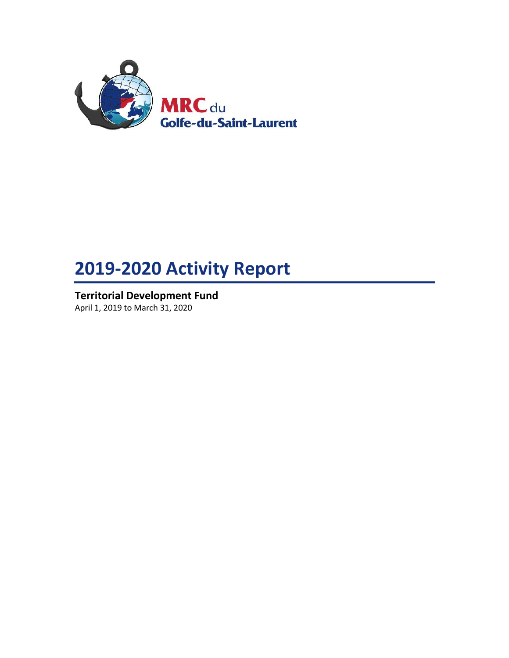

# **2019-2020 Activity Report**

**Territorial Development Fund** April 1, 2019 to March 31, 2020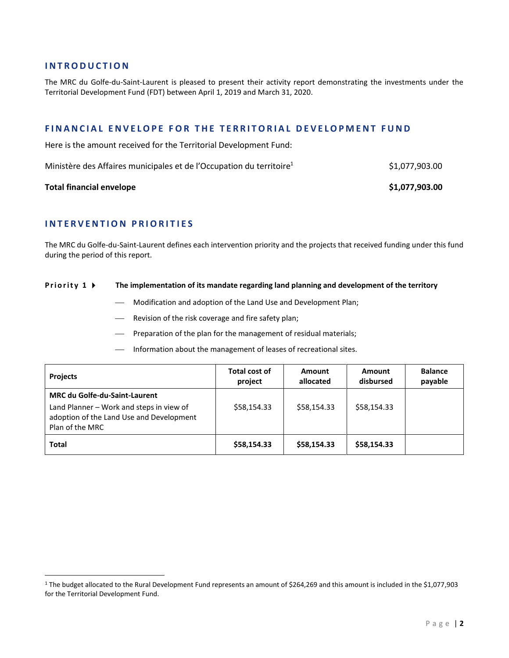### **I N T R O D U C T I O N**

The MRC du Golfe-du-Saint-Laurent is pleased to present their activity report demonstrating the investments under the Territorial Development Fund (FDT) between April 1, 2019 and March 31, 2020.

## **FINANCIAL ENVELOPE FOR THE TERRITORIAL DEVELOPMENT FUND**

Here is the amount received for the Territorial Development Fund:

| Ministère des Affaires municipales et de l'Occupation du territoire <sup>1</sup> | \$1,077,903.00 |
|----------------------------------------------------------------------------------|----------------|
|                                                                                  |                |

### **Total financial envelope 81,077,903.00**

 $\overline{\phantom{a}}$ 

# **I N T E R V E N T I O N P R I O R I T I E S**

The MRC du Golfe-du-Saint-Laurent defines each intervention priority and the projects that received funding under this fund during the period of this report.

#### **Priority 1**  $\triangleright$  **The implementation of its mandate regarding land planning and development of the territory**

- Modification and adoption of the Land Use and Development Plan;
- Revision of the risk coverage and fire safety plan;
- Preparation of the plan for the management of residual materials;
- Information about the management of leases of recreational sites.

| <b>Projects</b>                                                                                                                                 | Total cost of<br>project | Amount<br>allocated | Amount<br>disbursed | <b>Balance</b><br>payable |
|-------------------------------------------------------------------------------------------------------------------------------------------------|--------------------------|---------------------|---------------------|---------------------------|
| <b>MRC du Golfe-du-Saint-Laurent</b><br>Land Planner - Work and steps in view of<br>adoption of the Land Use and Development<br>Plan of the MRC | \$58,154.33              | \$58,154.33         | \$58,154.33         |                           |
| <b>Total</b>                                                                                                                                    | \$58,154.33              | \$58,154.33         | \$58,154.33         |                           |

<sup>1</sup> The budget allocated to the Rural Development Fund represents an amount of \$264,269 and this amount is included in the \$1,077,903 for the Territorial Development Fund.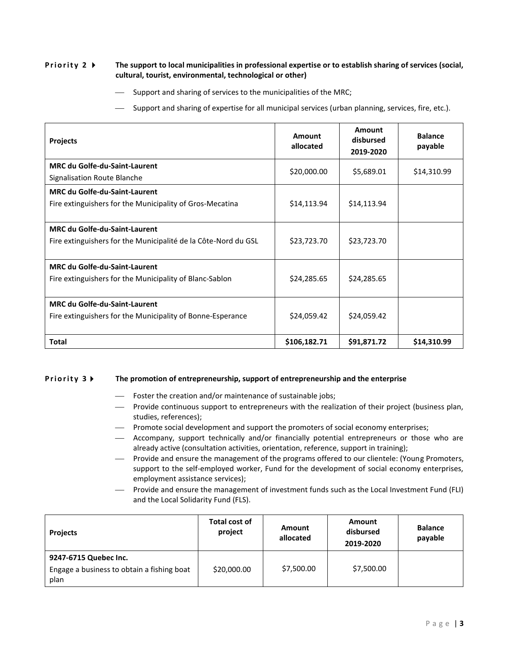#### **Priority 2 •** The support to local municipalities in professional expertise or to establish sharing of services (social, **cultural, tourist, environmental, technological or other)**

 $-$  Support and sharing of services to the municipalities of the MRC;

Support and sharing of expertise for all municipal services (urban planning, services, fire, etc.).

| <b>Projects</b>                                                                                        | Amount<br>allocated | Amount<br>disbursed<br>2019-2020 | <b>Balance</b><br>payable |
|--------------------------------------------------------------------------------------------------------|---------------------|----------------------------------|---------------------------|
| <b>MRC du Golfe-du-Saint-Laurent</b><br>Signalisation Route Blanche                                    | \$20,000.00         | \$5,689.01                       | \$14,310.99               |
| <b>MRC du Golfe-du-Saint-Laurent</b><br>Fire extinguishers for the Municipality of Gros-Mecatina       | \$14,113.94         | \$14,113.94                      |                           |
| <b>MRC du Golfe-du-Saint-Laurent</b><br>Fire extinguishers for the Municipalité de la Côte-Nord du GSL | \$23,723.70         | \$23,723.70                      |                           |
| <b>MRC du Golfe-du-Saint-Laurent</b><br>Fire extinguishers for the Municipality of Blanc-Sablon        | \$24,285.65         | \$24,285.65                      |                           |
| <b>MRC du Golfe-du-Saint-Laurent</b><br>Fire extinguishers for the Municipality of Bonne-Esperance     | \$24,059.42         | \$24,059.42                      |                           |
| <b>Total</b>                                                                                           | \$106,182.71        | \$91,871.72                      | \$14,310.99               |

#### **Priority 3 FI** The promotion of entrepreneurship, support of entrepreneurship and the enterprise

- Foster the creation and/or maintenance of sustainable jobs;
- Provide continuous support to entrepreneurs with the realization of their project (business plan, studies, references);
- Promote social development and support the promoters of social economy enterprises;
- Accompany, support technically and/or financially potential entrepreneurs or those who are already active (consultation activities, orientation, reference, support in training);
- Provide and ensure the management of the programs offered to our clientele: (Young Promoters, support to the self-employed worker, Fund for the development of social economy enterprises, employment assistance services);
- Provide and ensure the management of investment funds such as the Local Investment Fund (FLI) and the Local Solidarity Fund (FLS).

| <b>Projects</b>                                                             | Total cost of<br>project | Amount<br>allocated | Amount<br>disbursed<br>2019-2020 | <b>Balance</b><br>payable |
|-----------------------------------------------------------------------------|--------------------------|---------------------|----------------------------------|---------------------------|
| 9247-6715 Quebec Inc.<br>Engage a business to obtain a fishing boat<br>plan | \$20,000.00              | \$7,500.00          | \$7,500.00                       |                           |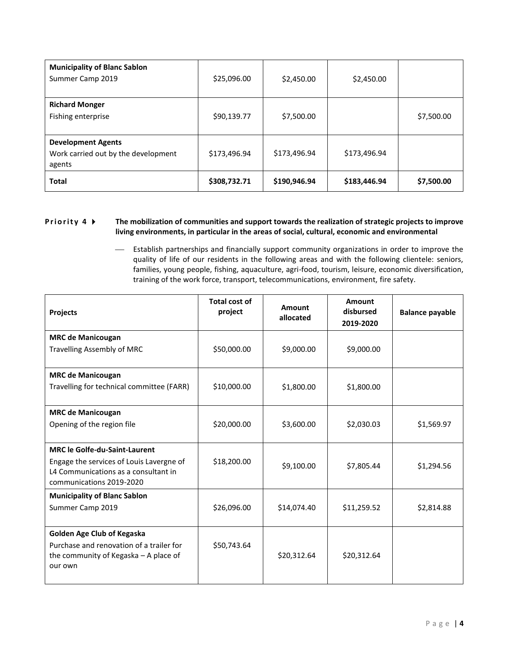| <b>Municipality of Blanc Sablon</b><br>Summer Camp 2019                    | \$25,096.00  | \$2,450.00   | \$2,450.00   |            |
|----------------------------------------------------------------------------|--------------|--------------|--------------|------------|
| <b>Richard Monger</b><br>Fishing enterprise                                | \$90,139.77  | \$7,500.00   |              | \$7,500.00 |
| <b>Development Agents</b><br>Work carried out by the development<br>agents | \$173,496.94 | \$173,496.94 | \$173,496.94 |            |
| <b>Total</b>                                                               | \$308,732.71 | \$190,946.94 | \$183,446.94 | \$7,500.00 |

## **Priority 4**  $\blacktriangleright$  The mobilization of communities and support towards the realization of strategic projects to improve **living environments, in particular in the areas of social, cultural, economic and environmental**

 Establish partnerships and financially support community organizations in order to improve the quality of life of our residents in the following areas and with the following clientele: seniors, families, young people, fishing, aquaculture, agri-food, tourism, leisure, economic diversification, training of the work force, transport, telecommunications, environment, fire safety.

| <b>Projects</b>                                                                                              | <b>Total cost of</b><br>project | Amount<br>allocated | Amount<br>disbursed<br>2019-2020 | <b>Balance payable</b> |
|--------------------------------------------------------------------------------------------------------------|---------------------------------|---------------------|----------------------------------|------------------------|
| <b>MRC de Manicougan</b>                                                                                     |                                 |                     |                                  |                        |
| <b>Travelling Assembly of MRC</b>                                                                            | \$50,000.00                     | \$9,000.00          | \$9,000.00                       |                        |
| <b>MRC de Manicougan</b>                                                                                     |                                 |                     |                                  |                        |
| Travelling for technical committee (FARR)                                                                    | \$10,000.00                     | \$1,800.00          | \$1,800.00                       |                        |
| <b>MRC de Manicougan</b>                                                                                     |                                 |                     |                                  |                        |
| Opening of the region file                                                                                   | \$20,000.00                     | \$3,600.00          | \$2,030.03                       | \$1,569.97             |
| <b>MRC le Golfe-du-Saint-Laurent</b>                                                                         |                                 |                     |                                  |                        |
| Engage the services of Louis Lavergne of<br>L4 Communications as a consultant in<br>communications 2019-2020 | \$18,200.00                     | \$9,100.00          | \$7,805.44                       | \$1,294.56             |
| <b>Municipality of Blanc Sablon</b>                                                                          |                                 |                     |                                  |                        |
| Summer Camp 2019                                                                                             | \$26,096.00                     | \$14,074.40         | \$11,259.52                      | \$2,814.88             |
| Golden Age Club of Kegaska                                                                                   |                                 |                     |                                  |                        |
| Purchase and renovation of a trailer for<br>the community of Kegaska - A place of<br>our own                 | \$50,743.64                     | \$20,312.64         | \$20,312.64                      |                        |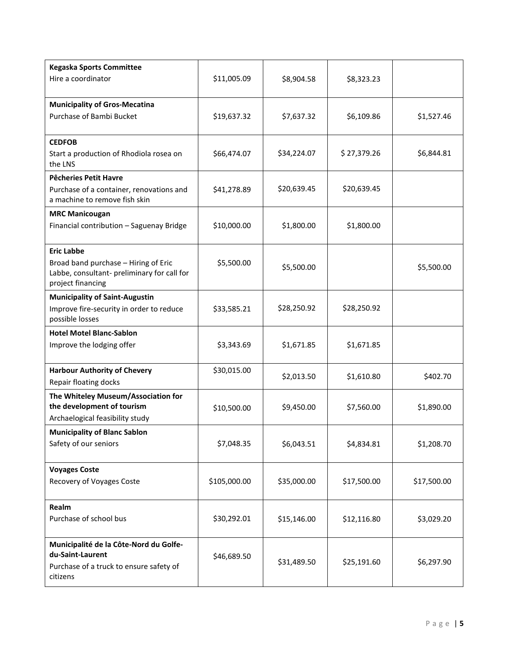| <b>Kegaska Sports Committee</b><br>Hire a coordinator                                                                         | \$11,005.09  | \$8,904.58  | \$8,323.23  |             |
|-------------------------------------------------------------------------------------------------------------------------------|--------------|-------------|-------------|-------------|
| <b>Municipality of Gros-Mecatina</b><br>Purchase of Bambi Bucket                                                              | \$19,637.32  | \$7,637.32  | \$6,109.86  | \$1,527.46  |
| <b>CEDFOB</b><br>Start a production of Rhodiola rosea on<br>the LNS                                                           | \$66,474.07  | \$34,224.07 | \$27,379.26 | \$6,844.81  |
| <b>Pêcheries Petit Havre</b><br>Purchase of a container, renovations and<br>a machine to remove fish skin                     | \$41,278.89  | \$20,639.45 | \$20,639.45 |             |
| <b>MRC Manicougan</b><br>Financial contribution - Saguenay Bridge                                                             | \$10,000.00  | \$1,800.00  | \$1,800.00  |             |
| <b>Eric Labbe</b><br>Broad band purchase - Hiring of Eric<br>Labbe, consultant- preliminary for call for<br>project financing | \$5,500.00   | \$5,500.00  |             | \$5,500.00  |
| <b>Municipality of Saint-Augustin</b><br>Improve fire-security in order to reduce<br>possible losses                          | \$33,585.21  | \$28,250.92 | \$28,250.92 |             |
| <b>Hotel Motel Blanc-Sablon</b><br>Improve the lodging offer                                                                  | \$3,343.69   | \$1,671.85  | \$1,671.85  |             |
| <b>Harbour Authority of Chevery</b><br>Repair floating docks                                                                  | \$30,015.00  | \$2,013.50  | \$1,610.80  | \$402.70    |
| The Whiteley Museum/Association for<br>the development of tourism<br>Archaelogical feasibility study                          | \$10,500.00  | \$9,450.00  | \$7,560.00  | \$1,890.00  |
| <b>Municipality of Blanc Sablon</b><br>Safety of our seniors                                                                  | \$7,048.35   | \$6,043.51  | \$4,834.81  | \$1,208.70  |
| <b>Voyages Coste</b><br>Recovery of Voyages Coste                                                                             | \$105,000.00 | \$35,000.00 | \$17,500.00 | \$17,500.00 |
| Realm<br>Purchase of school bus                                                                                               | \$30,292.01  | \$15,146.00 | \$12,116.80 | \$3,029.20  |
| Municipalité de la Côte-Nord du Golfe-<br>du-Saint-Laurent<br>Purchase of a truck to ensure safety of<br>citizens             | \$46,689.50  | \$31,489.50 | \$25,191.60 | \$6,297.90  |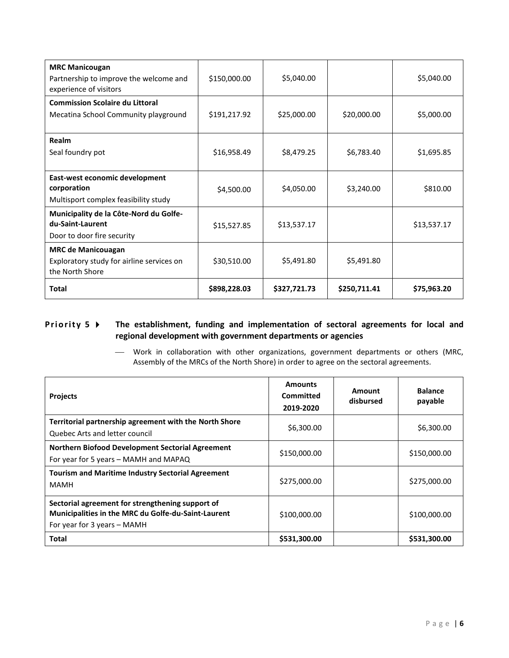| <b>MRC Manicougan</b><br>Partnership to improve the welcome and<br>experience of visitors | \$150,000.00 | \$5,040.00   |              | \$5,040.00  |
|-------------------------------------------------------------------------------------------|--------------|--------------|--------------|-------------|
| <b>Commission Scolaire du Littoral</b><br>Mecatina School Community playground            | \$191,217.92 | \$25,000.00  | \$20,000.00  | \$5,000.00  |
| Realm<br>Seal foundry pot                                                                 | \$16,958.49  | \$8,479.25   | \$6,783.40   | \$1,695.85  |
| East-west economic development<br>corporation<br>Multisport complex feasibility study     | \$4,500.00   | \$4,050.00   | \$3,240.00   | \$810.00    |
| Municipality de la Côte-Nord du Golfe-<br>du-Saint-Laurent<br>Door to door fire security  | \$15,527.85  | \$13,537.17  |              | \$13,537.17 |
| <b>MRC de Manicouagan</b><br>Exploratory study for airline services on<br>the North Shore | \$30,510.00  | \$5,491.80   | \$5,491.80   |             |
| <b>Total</b>                                                                              | \$898,228.03 | \$327,721.73 | \$250,711.41 | \$75,963.20 |

# **Priority 5**  $\triangleright$  The establishment, funding and implementation of sectoral agreements for local and **regional development with government departments or agencies**

 Work in collaboration with other organizations, government departments or others (MRC, Assembly of the MRCs of the North Shore) in order to agree on the sectoral agreements.

| <b>Projects</b>                                                                                                                        | <b>Amounts</b><br>Committed<br>2019-2020 | Amount<br>disbursed | <b>Balance</b><br>payable |
|----------------------------------------------------------------------------------------------------------------------------------------|------------------------------------------|---------------------|---------------------------|
| Territorial partnership agreement with the North Shore<br>Quebec Arts and letter council                                               | \$6,300.00                               |                     | \$6,300.00                |
| <b>Northern Biofood Development Sectorial Agreement</b><br>For year for 5 years - MAMH and MAPAQ                                       | \$150,000.00                             |                     | \$150,000.00              |
| <b>Tourism and Maritime Industry Sectorial Agreement</b><br><b>MAMH</b>                                                                | \$275,000.00                             |                     | \$275,000.00              |
| Sectorial agreement for strengthening support of<br>Municipalities in the MRC du Golfe-du-Saint-Laurent<br>For year for 3 years - MAMH | \$100,000.00                             |                     | \$100,000.00              |
| Total                                                                                                                                  | \$531,300.00                             |                     | \$531,300.00              |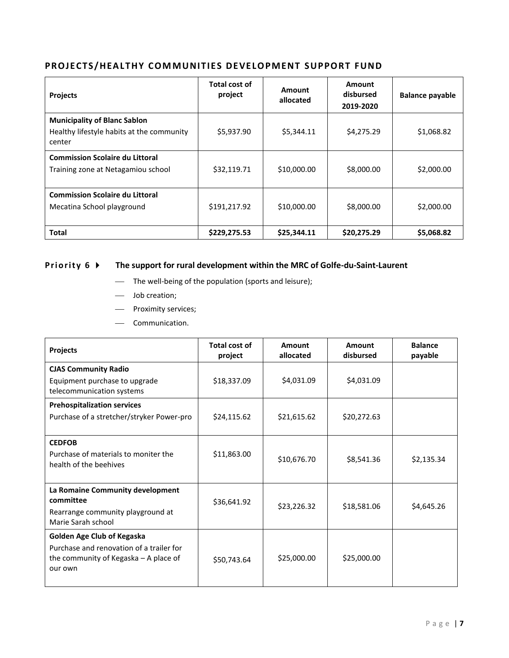# PROJECTS/HEALTHY COMMUNITIES DEVELOPMENT SUPPORT FUND

| <b>Projects</b>                                                                            | Total cost of<br>project | Amount<br>allocated | Amount<br>disbursed<br>2019-2020 | <b>Balance payable</b> |
|--------------------------------------------------------------------------------------------|--------------------------|---------------------|----------------------------------|------------------------|
| <b>Municipality of Blanc Sablon</b><br>Healthy lifestyle habits at the community<br>center | \$5,937.90               | \$5,344.11          | \$4,275.29                       | \$1,068.82             |
| <b>Commission Scolaire du Littoral</b><br>Training zone at Netagamiou school               | \$32,119.71              | \$10,000.00         | \$8,000.00                       | \$2,000.00             |
| <b>Commission Scolaire du Littoral</b><br>Mecatina School playground                       | \$191,217.92             | \$10,000.00         | \$8,000.00                       | \$2,000.00             |
| <b>Total</b>                                                                               | \$229,275.53             | \$25,344.11         | \$20,275.29                      | \$5,068.82             |

# **Priority 6**  $\triangleright$  The support for rural development within the MRC of Golfe-du-Saint-Laurent

- The well-being of the population (sports and leisure);
- Job creation;
- Proximity services;
- Communication.

| <b>Projects</b>                                                                                                            | <b>Total cost of</b><br>project | Amount<br>allocated | Amount<br>disbursed | <b>Balance</b><br>payable |
|----------------------------------------------------------------------------------------------------------------------------|---------------------------------|---------------------|---------------------|---------------------------|
| <b>CJAS Community Radio</b><br>Equipment purchase to upgrade<br>telecommunication systems                                  | \$18,337.09                     | \$4,031.09          | \$4,031.09          |                           |
| <b>Prehospitalization services</b><br>Purchase of a stretcher/stryker Power-pro                                            | \$24,115.62                     | \$21,615.62         | \$20,272.63         |                           |
| <b>CEDFOB</b><br>Purchase of materials to moniter the<br>health of the beehives                                            | \$11,863.00                     | \$10,676.70         | \$8,541.36          | \$2,135.34                |
| La Romaine Community development<br>committee<br>Rearrange community playground at<br>Marie Sarah school                   | \$36,641.92                     | \$23,226.32         | \$18,581.06         | \$4,645.26                |
| Golden Age Club of Kegaska<br>Purchase and renovation of a trailer for<br>the community of Kegaska - A place of<br>our own | \$50,743.64                     | \$25,000.00         | \$25,000.00         |                           |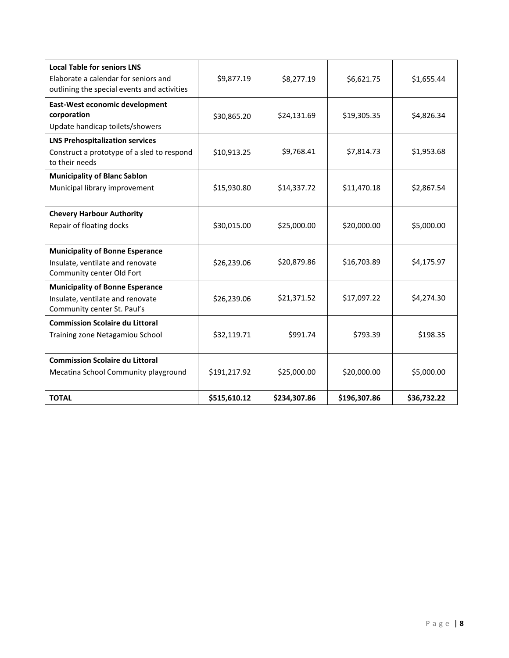| <b>Local Table for seniors LNS</b><br>Elaborate a calendar for seniors and<br>outlining the special events and activities | \$9,877.19   | \$8,277.19   | \$6,621.75   | \$1,655.44  |
|---------------------------------------------------------------------------------------------------------------------------|--------------|--------------|--------------|-------------|
| East-West economic development<br>corporation<br>Update handicap toilets/showers                                          | \$30,865.20  | \$24,131.69  | \$19,305.35  | \$4,826.34  |
| <b>LNS Prehospitalization services</b><br>Construct a prototype of a sled to respond<br>to their needs                    | \$10,913.25  | \$9,768.41   | \$7,814.73   | \$1,953.68  |
| <b>Municipality of Blanc Sablon</b><br>Municipal library improvement                                                      | \$15,930.80  | \$14,337.72  | \$11,470.18  | \$2,867.54  |
| <b>Chevery Harbour Authority</b><br>Repair of floating docks                                                              | \$30,015.00  | \$25,000.00  | \$20,000.00  | \$5,000.00  |
| <b>Municipality of Bonne Esperance</b><br>Insulate, ventilate and renovate<br>Community center Old Fort                   | \$26,239.06  | \$20,879.86  | \$16,703.89  | \$4,175.97  |
| <b>Municipality of Bonne Esperance</b><br>Insulate, ventilate and renovate<br>Community center St. Paul's                 | \$26,239.06  | \$21,371.52  | \$17,097.22  | \$4,274.30  |
| <b>Commission Scolaire du Littoral</b><br>Training zone Netagamiou School                                                 | \$32,119.71  | \$991.74     | \$793.39     | \$198.35    |
| <b>Commission Scolaire du Littoral</b><br>Mecatina School Community playground                                            | \$191,217.92 | \$25,000.00  | \$20,000.00  | \$5,000.00  |
| <b>TOTAL</b>                                                                                                              | \$515,610.12 | \$234,307.86 | \$196,307.86 | \$36,732.22 |